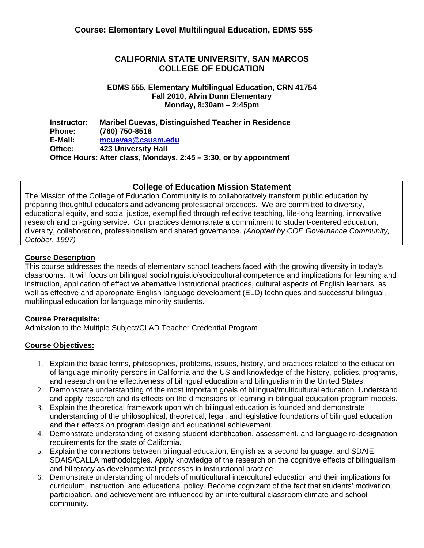## **CALIFORNIA STATE UNIVERSITY, SAN MARCOS COLLEGE OF EDUCATION**

### **EDMS 555, Elementary Multilingual Education, CRN 41754 Fall 2010, Alvin Dunn Elementary Monday, 8:30am – 2:45pm**

**Instructor: Phone: E-Mail: Office: Maribel Cuevas, Distinguished Teacher in Residence (760) 750-8518 mcuevas@csusm.edu 423 University Hall Office Hours: After class, Mondays, 2:45 – 3:30, or by appointment** 

## **College of Education Mission Statement**

The Mission of the College of Education Community is to collaboratively transform public education by preparing thoughtful educators and advancing professional practices. We are committed to diversity, educational equity, and social justice, exemplified through reflective teaching, life-long learning, innovative research and on-going service. Our practices demonstrate a commitment to student-centered education, diversity, collaboration, professionalism and shared governance. *(Adopted by COE Governance Community, October, 1997)*

## **Course Description**

 instruction, application of effective alternative instructional practices, cultural aspects of English learners, as This course addresses the needs of elementary school teachers faced with the growing diversity in today's classrooms. It will focus on bilingual sociolinguistic/sociocultural competence and implications for learning and well as effective and appropriate English language development (ELD) techniques and successful bilingual, multilingual education for language minority students.

## **Course Prerequisite:**

Admission to the Multiple Subject/CLAD Teacher Credential Program

## **Course Objectives:**

- and research on the effectiveness of bilingual education and bilingualism in the United States. 1. Explain the basic terms, philosophies, problems, issues, history, and practices related to the education of language minority persons in California and the US and knowledge of the history, policies, programs,
- and apply research and its effects on the dimensions of learning in bilingual education program models. 2. Demonstrate understanding of the most important goals of bilingual/multicultural education. Understand
- and their effects on program design and educational achievement. 3. Explain the theoretical framework upon which bilingual education is founded and demonstrate understanding of the philosophical, theoretical, legal, and legislative foundations of bilingual education
- requirements for the state of California. 4. Demonstrate understanding of existing student identification, assessment, and language re-designation
- and biliteracy as developmental processes in instructional practice 5. Explain the connections between bilingual education, English as a second language, and SDAIE, SDAIS/CALLA methodologies. Apply knowledge of the research on the cognitive effects of bilingualism
- community. 6. Demonstrate understanding of models of multicultural intercultural education and their implications for curriculum, instruction, and educational policy. Become cognizant of the fact that students' motivation, participation, and achievement are influenced by an intercultural classroom climate and school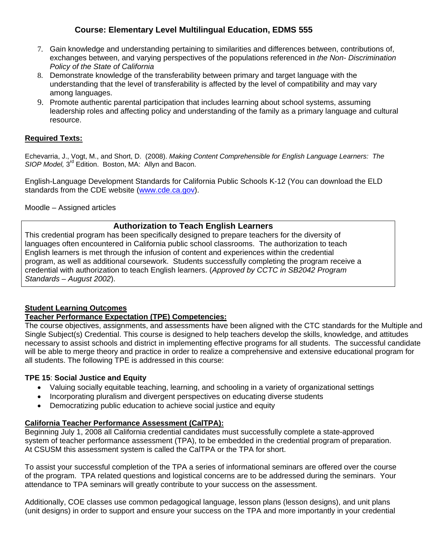- *Policy of the State of California* 7. Gain knowledge and understanding pertaining to similarities and differences between, contributions of, exchanges between, and varying perspectives of the populations referenced in *the Non- Discrimination*
- among languages. 8. Demonstrate knowledge of the transferability between primary and target language with the understanding that the level of transferability is affected by the level of compatibility and may vary
- resource. 9. Promote authentic parental participation that includes learning about school systems, assuming leadership roles and affecting policy and understanding of the family as a primary language and cultural

## **Required Texts:**

Echevarria, J., Vogt, M., and Short, D. (2008). *Making Content Comprehensible for English Language Learners: The SIOP Model,* 3rd Edition. Boston, MA: Allyn and Bacon.

English-Language Development Standards for California Public Schools K-12 (You can download the ELD standards from the CDE website (www.cde.ca.gov).

Moodle – Assigned articles

## **Authorization to Teach English Learners**

This credential program has been specifically designed to prepare teachers for the diversity of languages often encountered in California public school classrooms. The authorization to teach English learners is met through the infusion of content and experiences within the credential program, as well as additional coursework. Students successfully completing the program receive a credential with authorization to teach English learners. (*Approved by CCTC in SB2042 Program Standards – August 2002*).

## **Student Learning Outcomes**

## **Teacher Performance Expectation (TPE) Competencies:**

The course objectives, assignments, and assessments have been aligned with the CTC standards for the Multiple and Single Subject(s) Credential. This course is designed to help teachers develop the skills, knowledge, and attitudes necessary to assist schools and district in implementing effective programs for all students. The successful candidate will be able to merge theory and practice in order to realize a comprehensive and extensive educational program for all students. The following TPE is addressed in this course:

### **TPE 15**: **Social Justice and Equity**

- Valuing socially equitable teaching, learning, and schooling in a variety of organizational settings
- Incorporating pluralism and divergent perspectives on educating diverse students
- Democratizing public education to achieve social justice and equity

## **California Teacher Performance Assessment (CalTPA):**

system of teacher performance assessment (TPA), to be embedded in the credential program of preparation.<br>At CSUSM this assessment system is called the CalTPA or the TPA for short. Beginning July 1, 2008 all California credential candidates must successfully complete a state-approved

To assist your successful completion of the TPA a series of informational seminars are offered over the course of the program. TPA related questions and logistical concerns are to be addressed during the seminars. Your attendance to TPA seminars will greatly contribute to your success on the assessment.

Additionally, COE classes use common pedagogical language, lesson plans (lesson designs), and unit plans (unit designs) in order to support and ensure your success on the TPA and more importantly in your credential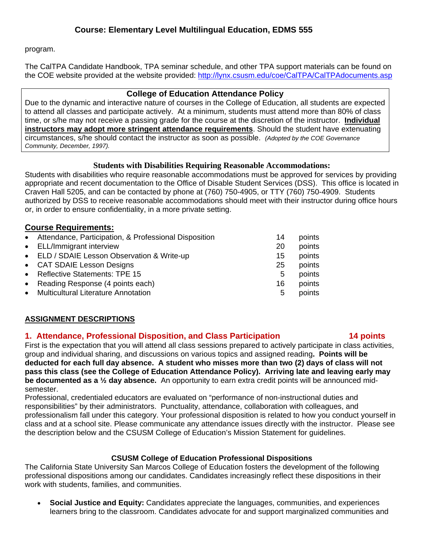program.

The CalTPA Candidate Handbook, TPA seminar schedule, and other TPA support materials can be found on the COE website provided at the website provided: http://lynx.csusm.edu/coe/CalTPA/CalTPAdocuments.asp

### **College of Education Attendance Policy**

 circumstances, s/he should contact the instructor as soon as possible. *(Adopted by the COE Governance*  Due to the dynamic and interactive nature of courses in the College of Education, all students are expected to attend all classes and participate actively. At a minimum, students must attend more than 80% of class time, or s/he may not receive a passing grade for the course at the discretion of the instructor. **Individual instructors may adopt more stringent attendance requirements**. Should the student have extenuating *Community, December, 1997).* 

## **Students with Disabilities Requiring Reasonable Accommodations:**

Students with disabilities who require reasonable accommodations must be approved for services by providing appropriate and recent documentation to the Office of Disable Student Services (DSS). This office is located in Craven Hall 5205, and can be contacted by phone at (760) 750-4905, or TTY (760) 750-4909. Students authorized by DSS to receive reasonable accommodations should meet with their instructor during office hours or, in order to ensure confidentiality, in a more private setting.

# **Course Requirements:**

| • Reflective Statements: TPE 15<br>points<br>5<br>• Reading Response (4 points each)<br>16<br>• Multicultural Literature Annotation<br>5 | • Attendance, Participation, & Professional Disposition<br>• ELL/Immigrant interview<br>• ELD / SDAIE Lesson Observation & Write-up<br>• CAT SDAIE Lesson Designs | 14<br>20<br>15<br>25 | points<br>points<br>points<br>points |
|------------------------------------------------------------------------------------------------------------------------------------------|-------------------------------------------------------------------------------------------------------------------------------------------------------------------|----------------------|--------------------------------------|
|                                                                                                                                          |                                                                                                                                                                   |                      | points<br>points                     |

## **ASSIGNMENT DESCRIPTIONS**

## **1. Attendance, Professional Disposition, and Class Participation 14 points**

First is the expectation that you will attend all class sessions prepared to actively participate in class activities, group and individual sharing, and discussions on various topics and assigned reading**. Points will be deducted for each full day absence. A student who misses more than two (2) days of class will not pass this class (see the College of Education Attendance Policy). Arriving late and leaving early may be documented as a ½ day absence.** An opportunity to earn extra credit points will be announced midsemester.

 the description below and the CSUSM College of Education's Mission Statement for guidelines. Professional, credentialed educators are evaluated on "performance of non-instructional duties and responsibilities" by their administrators. Punctuality, attendance, collaboration with colleagues, and professionalism fall under this category. Your professional disposition is related to how you conduct yourself in class and at a school site. Please communicate any attendance issues directly with the instructor. Please see

## **CSUSM College of Education Professional Dispositions**

The California State University San Marcos College of Education fosters the development of the following professional dispositions among our candidates. Candidates increasingly reflect these dispositions in their work with students, families, and communities.

 **Social Justice and Equity:** Candidates appreciate the languages, communities, and experiences learners bring to the classroom. Candidates advocate for and support marginalized communities and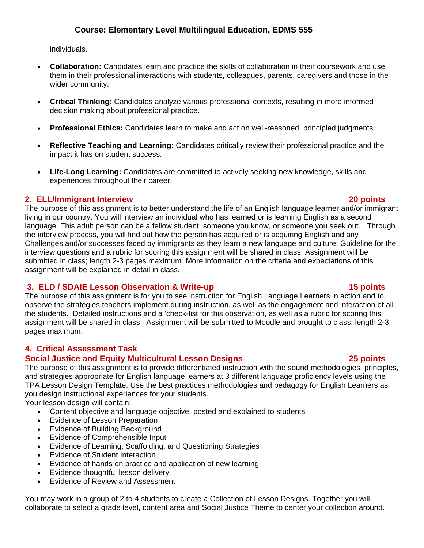individuals.

- **Collaboration:** Candidates learn and practice the skills of collaboration in their coursework and use them in their professional interactions with students, colleagues, parents, caregivers and those in the wider community.
- **Critical Thinking:** Candidates analyze various professional contexts, resulting in more informed decision making about professional practice.
- **Professional Ethics:** Candidates learn to make and act on well-reasoned, principled judgments.
- **Reflective Teaching and Learning:** Candidates critically review their professional practice and the impact it has on student success.
- experiences throughout their career. **Life-Long Learning:** Candidates are committed to actively seeking new knowledge, skills and

## **2. ELL/Immigrant Interview 20 points**

The purpose of this assignment is to better understand the life of an English language learner and/or immigrant living in our country. You will interview an individual who has learned or is learning English as a second language. This adult person can be a fellow student, someone you know, or someone you seek out. Through the interview process, you will find out how the person has acquired or is acquiring English and any Challenges and/or successes faced by immigrants as they learn a new language and culture. Guideline for the interview questions and a rubric for scoring this assignment will be shared in class. Assignment will be submitted in class; length 2-3 pages maximum. More information on the criteria and expectations of this assignment will be explained in detail in class.

# **3. ELD / SDAIE Lesson Observation & Write-up 15 points 15 points**

The purpose of this assignment is for you to see instruction for English Language Learners in action and to observe the strategies teachers implement during instruction, as well as the engagement and interaction of all the students. Detailed instructions and a 'check-list for this observation, as well as a rubric for scoring this assignment will be shared in class. Assignment will be submitted to Moodle and brought to class; length 2-3 pages maximum.

# **4. Critical Assessment Task**

## **Social Justice and Equity Multicultural Lesson Designs 25 points**

The purpose of this assignment is to provide differentiated instruction with the sound methodologies, principles, and strategies appropriate for English language learners at 3 different language proficiency levels using the TPA Lesson Design Template. Use the best practices methodologies and pedagogy for English Learners as you design instructional experiences for your students.

Your lesson design will contain:

- Content objective and language objective, posted and explained to students
- Evidence of Lesson Preparation
- Evidence of Building Background
- Evidence of Comprehensible Input
- Evidence of Learning, Scaffolding, and Questioning Strategies
- Evidence of Student Interaction
- Evidence of hands on practice and application of new learning
- Evidence thoughtful lesson delivery
- Evidence of Review and Assessment

You may work in a group of 2 to 4 students to create a Collection of Lesson Designs. Together you will collaborate to select a grade level, content area and Social Justice Theme to center your collection around.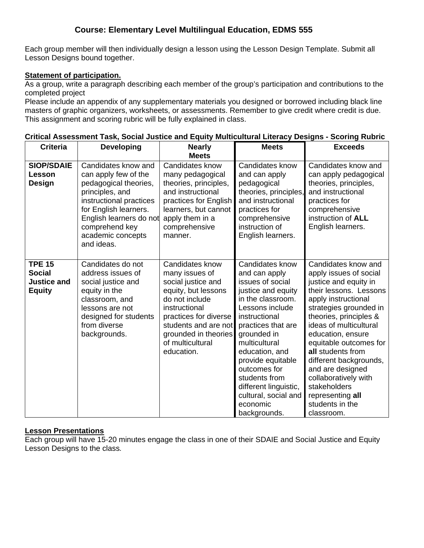Each group member will then individually design a lesson using the Lesson Design Template. Submit all Lesson Designs bound together.

### **Statement of participation.**

As a group, write a paragraph describing each member of the group's participation and contributions to the completed project

 This assignment and scoring rubric will be fully explained in class. Please include an appendix of any supplementary materials you designed or borrowed including black line masters of graphic organizers, worksheets, or assessments. Remember to give credit where credit is due.

| <b>Criteria</b>                                                       | <b>Developing</b>                                                                                                                                                                                                           | <b>Nearly</b>                                                                                                                                                                                                                | <b>Meets</b>                                                                                                                                                                                                                                                                                                                                   | <b>Exceeds</b>                                                                                                                                                                                                                                                                                                                                                                                                       |
|-----------------------------------------------------------------------|-----------------------------------------------------------------------------------------------------------------------------------------------------------------------------------------------------------------------------|------------------------------------------------------------------------------------------------------------------------------------------------------------------------------------------------------------------------------|------------------------------------------------------------------------------------------------------------------------------------------------------------------------------------------------------------------------------------------------------------------------------------------------------------------------------------------------|----------------------------------------------------------------------------------------------------------------------------------------------------------------------------------------------------------------------------------------------------------------------------------------------------------------------------------------------------------------------------------------------------------------------|
|                                                                       |                                                                                                                                                                                                                             | <b>Meets</b>                                                                                                                                                                                                                 |                                                                                                                                                                                                                                                                                                                                                |                                                                                                                                                                                                                                                                                                                                                                                                                      |
| <b>SIOP/SDAIE</b><br>Lesson<br>Design                                 | Candidates know and<br>can apply few of the<br>pedagogical theories,<br>principles, and<br>instructional practices<br>for English learners.<br>English learners do not<br>comprehend key<br>academic concepts<br>and ideas. | Candidates know<br>many pedagogical<br>theories, principles,<br>and instructional<br>practices for English<br>learners, but cannot<br>apply them in a<br>comprehensive<br>manner.                                            | Candidates know<br>and can apply<br>pedagogical<br>theories, principles,<br>and instructional<br>practices for<br>comprehensive<br>instruction of<br>English learners.                                                                                                                                                                         | Candidates know and<br>can apply pedagogical<br>theories, principles,<br>and instructional<br>practices for<br>comprehensive<br>instruction of ALL<br>English learners.                                                                                                                                                                                                                                              |
| <b>TPE 15</b><br><b>Social</b><br><b>Justice and</b><br><b>Equity</b> | Candidates do not<br>address issues of<br>social justice and<br>equity in the<br>classroom, and<br>lessons are not<br>designed for students<br>from diverse<br>backgrounds.                                                 | Candidates know<br>many issues of<br>social justice and<br>equity, but lessons<br>do not include<br>instructional<br>practices for diverse<br>students and are not<br>grounded in theories<br>of multicultural<br>education. | Candidates know<br>and can apply<br>issues of social<br>justice and equity<br>in the classroom.<br>Lessons include<br>instructional<br>practices that are<br>grounded in<br>multicultural<br>education, and<br>provide equitable<br>outcomes for<br>students from<br>different linguistic,<br>cultural, social and<br>economic<br>backgrounds. | Candidates know and<br>apply issues of social<br>justice and equity in<br>their lessons. Lessons<br>apply instructional<br>strategies grounded in<br>theories, principles &<br>ideas of multicultural<br>education, ensure<br>equitable outcomes for<br>all students from<br>different backgrounds,<br>and are designed<br>collaboratively with<br>stakeholders<br>representing all<br>students in the<br>classroom. |

### **Critical Assessment Task, Social Justice and Equity Multicultural Literacy Designs - Scoring Rubric**

### **Lesson Presentations**

Each group will have 15-20 minutes engage the class in one of their SDAIE and Social Justice and Equity Lesson Designs to the class*.*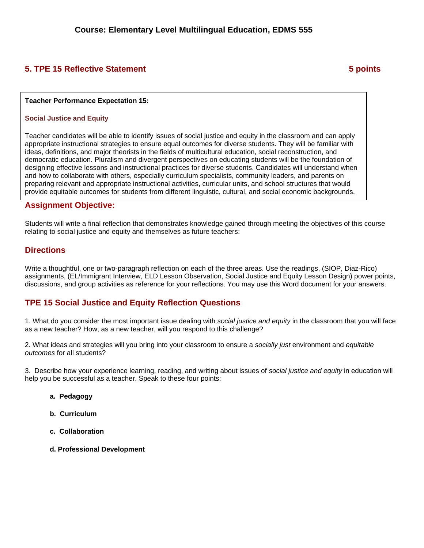# **5. TPE 15 Reflective Statement 6 and 5 points 3 points 3 points 3 points 3 points 3 points 3 points 3 points 3 points 3 points 3 points 3 points 3 points 3 points 3 points 3 points 3 points 3 points 3 points 3 points 3 po**

### **Teacher Performance Expectation 15:**

### **Social Justice and Equity**

Teacher candidates will be able to identify issues of social justice and equity in the classroom and can apply appropriate instructional strategies to ensure equal outcomes for diverse students. They will be familiar with ideas, definitions, and major theorists in the fields of multicultural education, social reconstruction, and democratic education. Pluralism and divergent perspectives on educating students will be the foundation of designing effective lessons and instructional practices for diverse students. Candidates will understand when and how to collaborate with others, especially curriculum specialists, community leaders, and parents on preparing relevant and appropriate instructional activities, curricular units, and school structures that would provide equitable outcomes for students from different linguistic, cultural, and social economic backgrounds.

### **Assignment Objective:**

Students will write a final reflection that demonstrates knowledge gained through meeting the objectives of this course relating to social justice and equity and themselves as future teachers:

### **Directions**

Write a thoughtful, one or two-paragraph reflection on each of the three areas. Use the readings, (SIOP, Diaz-Rico) assignments, (EL/Immigrant Interview, ELD Lesson Observation, Social Justice and Equity Lesson Design) power points, discussions, and group activities as reference for your reflections. You may use this Word document for your answers.

### **TPE 15 Social Justice and Equity Reflection Questions**

1. What do you consider the most important issue dealing with *social justice and equity* in the classroom that you will face as a new teacher? How, as a new teacher, will you respond to this challenge?

2. What ideas and strategies will you bring into your classroom to ensure a *socially just* environment and *equitable outcomes* for all students?

3. Describe how your experience learning, reading, and writing about issues of *social justice and equity* in education will help you be successful as a teacher. Speak to these four points:

- **a. Pedagogy**
- **b. Curriculum**
- **c. Collaboration**
- **d. Professional Development**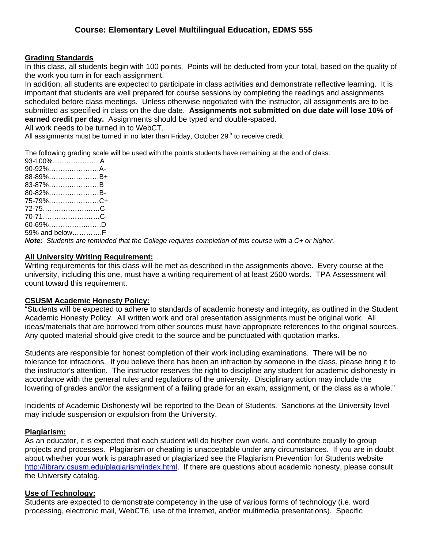### **Grading Standards**

In this class, all students begin with 100 points. Points will be deducted from your total, based on the quality of the work you turn in for each assignment.

 submitted as specified in class on the due date. **Assignments not submitted on due date will lose 10% of**  In addition, all students are expected to participate in class activities and demonstrate reflective learning. It is important that students are well prepared for course sessions by completing the readings and assignments scheduled before class meetings. Unless otherwise negotiated with the instructor, all assignments are to be **earned credit per day.** Assignments should be typed and double-spaced.

All work needs to be turned in to WebCT.

All assignments must be turned in no later than Friday, October  $29<sup>th</sup>$  to receive credit.

The following grading scale will be used with the points students have remaining at the end of class:

| 93-100%A               |  |
|------------------------|--|
| 90-92%A-               |  |
| 88-89%B+               |  |
| 83-87%B                |  |
| 80-82%B-               |  |
| <u>75-79%…………………C+</u> |  |
| 72-75C                 |  |
|                        |  |
| 60-69%D                |  |
| 59% and belowF         |  |

*Note: Students are reminded that the College requires completion of this course with a C+ or higher.* 

### **All University Writing Requirement:**

Writing requirements for this class will be met as described in the assignments above. Every course at the university, including this one, must have a writing requirement of at least 2500 words. TPA Assessment will count toward this requirement.

### **CSUSM Academic Honesty Policy:**

"Students will be expected to adhere to standards of academic honesty and integrity, as outlined in the Student Academic Honesty Policy. All written work and oral presentation assignments must be original work. All ideas/materials that are borrowed from other sources must have appropriate references to the original sources. Any quoted material should give credit to the source and be punctuated with quotation marks.

Students are responsible for honest completion of their work including examinations. There will be no tolerance for infractions. If you believe there has been an infraction by someone in the class, please bring it to the instructor's attention. The instructor reserves the right to discipline any student for academic dishonesty in accordance with the general rules and regulations of the university. Disciplinary action may include the lowering of grades and/or the assignment of a failing grade for an exam, assignment, or the class as a whole."

Incidents of Academic Dishonesty will be reported to the Dean of Students. Sanctions at the University level may include suspension or expulsion from the University.

### **Plagiarism:**

As an educator, it is expected that each student will do his/her own work, and contribute equally to group projects and processes. Plagiarism or cheating is unacceptable under any circumstances. If you are in doubt about whether your work is paraphrased or plagiarized see the Plagiarism Prevention for Students website http://library.csusm.edu/plagiarism/index.html. If there are questions about academic honesty, please consult the University catalog.

### **Use of Technology:**

Students are expected to demonstrate competency in the use of various forms of technology (i.e. word processing, electronic mail, WebCT6, use of the Internet, and/or multimedia presentations). Specific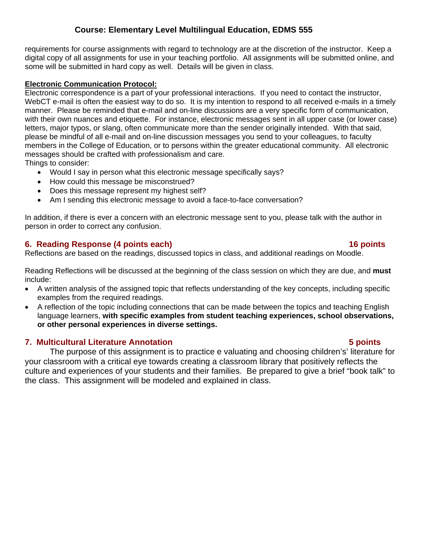requirements for course assignments with regard to technology are at the discretion of the instructor. Keep a digital copy of all assignments for use in your teaching portfolio. All assignments will be submitted online, and some will be submitted in hard copy as well. Details will be given in class.

### **Electronic Communication Protocol:**

Electronic correspondence is a part of your professional interactions. If you need to contact the instructor, WebCT e-mail is often the easiest way to do so. It is my intention to respond to all received e-mails in a timely manner. Please be reminded that e-mail and on-line discussions are a very specific form of communication, with their own nuances and etiquette. For instance, electronic messages sent in all upper case (or lower case) letters, major typos, or slang, often communicate more than the sender originally intended. With that said, please be mindful of all e-mail and on-line discussion messages you send to your colleagues, to faculty members in the College of Education, or to persons within the greater educational community. All electronic messages should be crafted with professionalism and care.

Things to consider:

- Would I say in person what this electronic message specifically says?
- How could this message be misconstrued?
- Does this message represent my highest self?
- Am I sending this electronic message to avoid a face-to-face conversation?

In addition, if there is ever a concern with an electronic message sent to you, please talk with the author in person in order to correct any confusion.

# **6. Reading Response (4 points each) 16 points**

Reflections are based on the readings, discussed topics in class, and additional readings on Moodle.

Reading Reflections will be discussed at the beginning of the class session on which they are due, and **must**  include:

- A written analysis of the assigned topic that reflects understanding of the key concepts, including specific examples from the required readings.
- A reflection of the topic including connections that can be made between the topics and teaching English language learners, **with specific examples from student teaching experiences, school observations, or other personal experiences in diverse settings.**

# **7. Multicultural Literature Annotation 5 points**

The purpose of this assignment is to practice e valuating and choosing children's' literature for your classroom with a critical eye towards creating a classroom library that positively reflects the culture and experiences of your students and their families. Be prepared to give a brief "book talk" to the class. This assignment will be modeled and explained in class.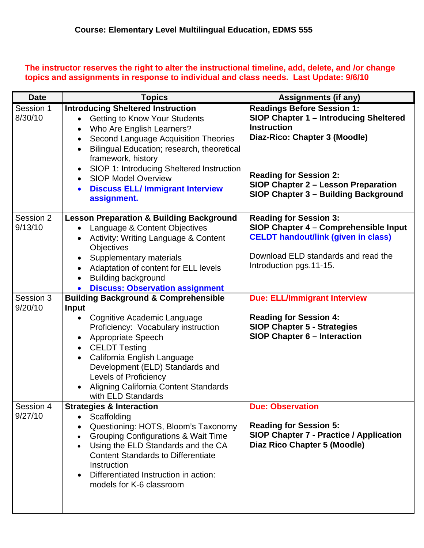## **The instructor reserves the right to alter the instructional timeline, add, delete, and /or change topics and assignments in response to individual and class needs. Last Update: 9/6/10**

| <b>Date</b>          | <b>Topics</b>                                                                                                                                                                                                                                                                                                                                                                                                                                             | <b>Assignments (if any)</b>                                                                                                                                                                                                                                      |
|----------------------|-----------------------------------------------------------------------------------------------------------------------------------------------------------------------------------------------------------------------------------------------------------------------------------------------------------------------------------------------------------------------------------------------------------------------------------------------------------|------------------------------------------------------------------------------------------------------------------------------------------------------------------------------------------------------------------------------------------------------------------|
| Session 1<br>8/30/10 | <b>Introducing Sheltered Instruction</b><br><b>Getting to Know Your Students</b><br>$\bullet$<br>Who Are English Learners?<br>$\bullet$<br>Second Language Acquisition Theories<br>$\bullet$<br>Bilingual Education; research, theoretical<br>$\bullet$<br>framework, history<br>SIOP 1: Introducing Sheltered Instruction<br>$\bullet$<br><b>SIOP Model Overview</b><br>$\bullet$<br><b>Discuss ELL/ Immigrant Interview</b><br>$\bullet$<br>assignment. | <b>Readings Before Session 1:</b><br><b>SIOP Chapter 1 - Introducing Sheltered</b><br><b>Instruction</b><br>Diaz-Rico: Chapter 3 (Moodle)<br><b>Reading for Session 2:</b><br><b>SIOP Chapter 2 - Lesson Preparation</b><br>SIOP Chapter 3 - Building Background |
| Session 2<br>9/13/10 | <b>Lesson Preparation &amp; Building Background</b><br>Language & Content Objectives<br>$\bullet$<br>Activity: Writing Language & Content<br>$\bullet$<br><b>Objectives</b><br>Supplementary materials<br>$\bullet$<br>Adaptation of content for ELL levels<br>$\bullet$<br><b>Building background</b><br>$\bullet$<br><b>Discuss: Observation assignment</b><br>$\bullet$                                                                                | <b>Reading for Session 3:</b><br>SIOP Chapter 4 - Comprehensible Input<br><b>CELDT handout/link (given in class)</b><br>Download ELD standards and read the<br>Introduction pgs.11-15.                                                                           |
| Session 3            | <b>Building Background &amp; Comprehensible</b>                                                                                                                                                                                                                                                                                                                                                                                                           | <b>Due: ELL/Immigrant Interview</b>                                                                                                                                                                                                                              |
| 9/20/10              | <b>Input</b><br>Cognitive Academic Language<br>$\bullet$<br>Proficiency: Vocabulary instruction<br>Appropriate Speech<br>$\bullet$<br><b>CELDT Testing</b><br>$\bullet$<br>California English Language<br>$\bullet$<br>Development (ELD) Standards and<br><b>Levels of Proficiency</b><br>Aligning California Content Standards<br>$\bullet$<br>with ELD Standards                                                                                        | <b>Reading for Session 4:</b><br><b>SIOP Chapter 5 - Strategies</b><br><b>SIOP Chapter 6 - Interaction</b>                                                                                                                                                       |
| Session 4<br>9/27/10 | <b>Strategies &amp; Interaction</b><br>Scaffolding<br>$\bullet$<br>Questioning: HOTS, Bloom's Taxonomy<br>$\bullet$<br><b>Grouping Configurations &amp; Wait Time</b><br>$\bullet$<br>Using the ELD Standards and the CA<br>$\bullet$<br><b>Content Standards to Differentiate</b><br>Instruction<br>Differentiated Instruction in action:<br>$\bullet$<br>models for K-6 classroom                                                                       | <b>Due: Observation</b><br><b>Reading for Session 5:</b><br><b>SIOP Chapter 7 - Practice / Application</b><br>Diaz Rico Chapter 5 (Moodle)                                                                                                                       |